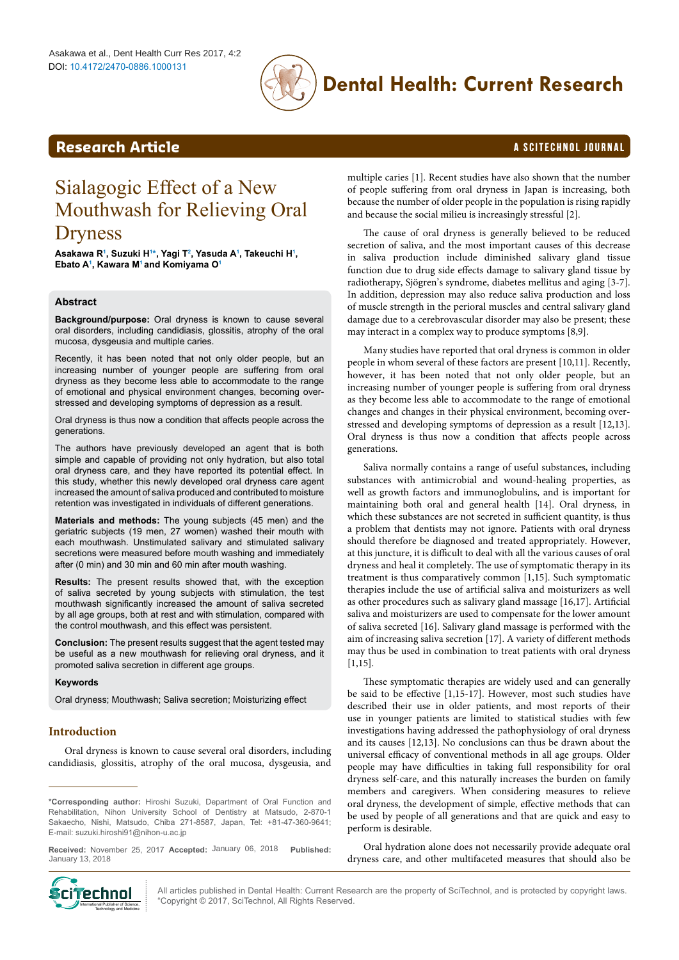

# **Dental Health: Current Research**

# <span id="page-0-1"></span>**Research Article a Scittering Control in the Scittering Article in the Scittering Article in the Scittering Control in the Scittering Control in the Scittering Control in the Scittering Control in the Scittering Control**

# Sialagogic Effect of a New Mouthwash for Relieving Oral Dryness

**Asakawa [R1](#page-5-0) , Suzuki [H1](#page-5-0) [\\*,](#page-0-0) Yagi T[2](#page-5-1) , Yasuda [A1](#page-5-0) , Takeuchi H[1](#page-5-0) , Ebato [A1](#page-5-0) , Kawara M[1](#page-5-0) and Komiyama O[1](#page-5-0)**

# **Abstract**

**Background/purpose:** Oral dryness is known to cause several oral disorders, including candidiasis, glossitis, atrophy of the oral mucosa, dysgeusia and multiple caries.

Recently, it has been noted that not only older people, but an increasing number of younger people are suffering from oral dryness as they become less able to accommodate to the range of emotional and physical environment changes, becoming overstressed and developing symptoms of depression as a result.

Oral dryness is thus now a condition that affects people across the generations.

The authors have previously developed an agent that is both simple and capable of providing not only hydration, but also total oral dryness care, and they have reported its potential effect. In this study, whether this newly developed oral dryness care agent increased the amount of saliva produced and contributed to moisture retention was investigated in individuals of different generations.

**Materials and methods:** The young subjects (45 men) and the geriatric subjects (19 men, 27 women) washed their mouth with each mouthwash. Unstimulated salivary and stimulated salivary secretions were measured before mouth washing and immediately after (0 min) and 30 min and 60 min after mouth washing.

**Results:** The present results showed that, with the exception of saliva secreted by young subjects with stimulation, the test mouthwash significantly increased the amount of saliva secreted by all age groups, both at rest and with stimulation, compared with the control mouthwash, and this effect was persistent.

**Conclusion:** The present results suggest that the agent tested may be useful as a new mouthwash for relieving oral dryness, and it promoted saliva secretion in different age groups.

#### **Keywords**

Oral dryness; Mouthwash; Saliva secretion; Moisturizing effect

# **Introduction**

Oral dryness is known to cause several oral disorders, including candidiasis, glossitis, atrophy of the oral mucosa, dysgeusia, and

Received: November 25, 2017 Accepted: January 06, 2018 Published: January 13, 2018



multiple caries [1]. Recent studies have also shown that the number of people suffering from oral dryness in Japan is increasing, both because the number of older people in the population is rising rapidly and because the social milieu is increasingly stressful [2].

The cause of oral dryness is generally believed to be reduced secretion of saliva, and the most important causes of this decrease in saliva production include diminished salivary gland tissue function due to drug side effects damage to salivary gland tissue by radiotherapy, Sjögren's syndrome, diabetes mellitus and aging [3-7]. In addition, depression may also reduce saliva production and loss of muscle strength in the perioral muscles and central salivary gland damage due to a cerebrovascular disorder may also be present; these may interact in a complex way to produce symptoms [8,9].

Many studies have reported that oral dryness is common in older people in whom several of these factors are present [10,11]. Recently, however, it has been noted that not only older people, but an increasing number of younger people is suffering from oral dryness as they become less able to accommodate to the range of emotional changes and changes in their physical environment, becoming overstressed and developing symptoms of depression as a result [12,13]. Oral dryness is thus now a condition that affects people across generations.

Saliva normally contains a range of useful substances, including substances with antimicrobial and wound-healing properties, as well as growth factors and immunoglobulins, and is important for maintaining both oral and general health [14]. Oral dryness, in which these substances are not secreted in sufficient quantity, is thus a problem that dentists may not ignore. Patients with oral dryness should therefore be diagnosed and treated appropriately. However, at this juncture, it is difficult to deal with all the various causes of oral dryness and heal it completely. The use of symptomatic therapy in its treatment is thus comparatively common [1,15]. Such symptomatic therapies include the use of artificial saliva and moisturizers as well as other procedures such as salivary gland massage [16,17]. Artificial saliva and moisturizers are used to compensate for the lower amount of saliva secreted [16]. Salivary gland massage is performed with the aim of increasing saliva secretion [17]. A variety of different methods may thus be used in combination to treat patients with oral dryness [1,15].

These symptomatic therapies are widely used and can generally be said to be effective [1,15-17]. However, most such studies have described their use in older patients, and most reports of their use in younger patients are limited to statistical studies with few investigations having addressed the pathophysiology of oral dryness and its causes [12,13]. No conclusions can thus be drawn about the universal efficacy of conventional methods in all age groups. Older people may have difficulties in taking full responsibility for oral dryness self-care, and this naturally increases the burden on family members and caregivers. When considering measures to relieve oral dryness, the development of simple, effective methods that can be used by people of all generations and that are quick and easy to perform is desirable.

Oral hydration alone does not necessarily provide adequate oral dryness care, and other multifaceted measures that should also be

All articles published in Dental Health: Current Research are the property of SciTechnol, and is protected by copyright laws. "Copyright © 2017, SciTechnol, All Rights Reserved.

<span id="page-0-0"></span>**<sup>\*</sup>Corresponding author:** Hiroshi Suzuki, Department of Oral Function and Rehabilitation, Nihon University School of Dentistry at Matsudo, 2-870-1 Sakaecho, Nishi, Matsudo, Chiba 271-8587, Japan, Tel: +81-47-360-9641; E-mail: suzuki.hiroshi91@nihon-u.ac.jp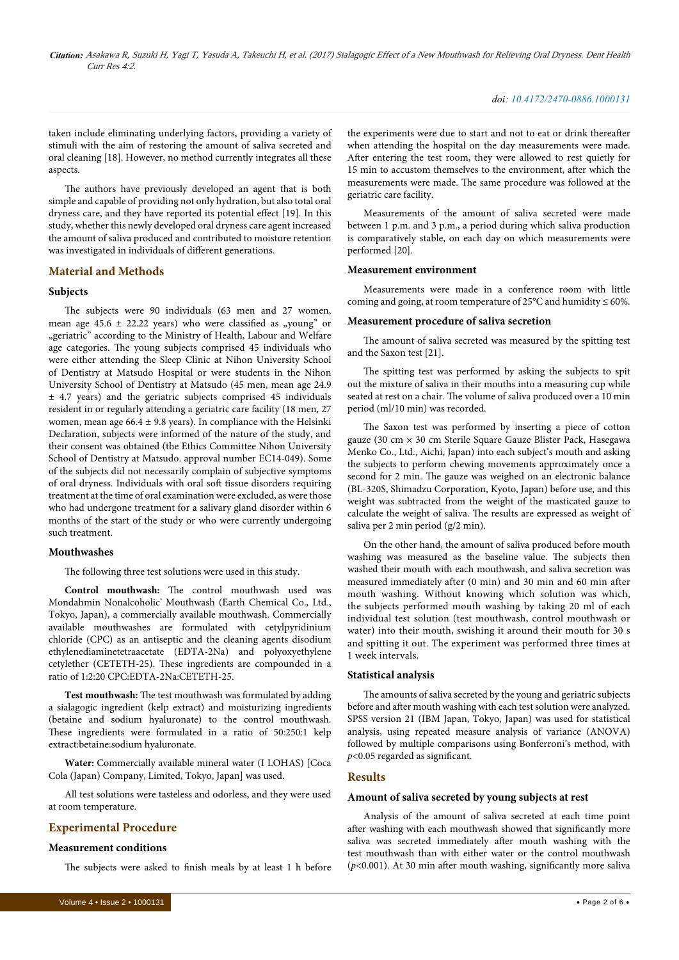taken include eliminating underlying factors, providing a variety of stimuli with the aim of restoring the amount of saliva secreted and oral cleaning [18]. However, no method currently integrates all these aspects.

The authors have previously developed an agent that is both simple and capable of providing not only hydration, but also total oral dryness care, and they have reported its potential effect [19]. In this study, whether this newly developed oral dryness care agent increased the amount of saliva produced and contributed to moisture retention was investigated in individuals of different generations.

# **Material and Methods**

### **Subjects**

The subjects were 90 individuals (63 men and 27 women, mean age  $45.6 \pm 22.22$  years) who were classified as "young" or "geriatric" according to the Ministry of Health, Labour and Welfare age categories. The young subjects comprised 45 individuals who were either attending the Sleep Clinic at Nihon University School of Dentistry at Matsudo Hospital or were students in the Nihon University School of Dentistry at Matsudo (45 men, mean age 24.9 ± 4.7 years) and the geriatric subjects comprised 45 individuals resident in or regularly attending a geriatric care facility (18 men, 27 women, mean age  $66.4 \pm 9.8$  years). In compliance with the Helsinki Declaration, subjects were informed of the nature of the study, and their consent was obtained (the Ethics Committee Nihon University School of Dentistry at Matsudo. approval number EC14-049). Some of the subjects did not necessarily complain of subjective symptoms of oral dryness. Individuals with oral soft tissue disorders requiring treatment at the time of oral examination were excluded, as were those who had undergone treatment for a salivary gland disorder within 6 months of the start of the study or who were currently undergoing such treatment.

#### **Mouthwashes**

The following three test solutions were used in this study.

**Control mouthwash:** The control mouthwash used was Mondahmin Nonalcoholic® Mouthwash (Earth Chemical Co., Ltd., Tokyo, Japan), a commercially available mouthwash. Commercially available mouthwashes are formulated with cetylpyridinium chloride (CPC) as an antiseptic and the cleaning agents disodium ethylenediaminetetraacetate (EDTA-2Na) and polyoxyethylene cetylether (CETETH-25). These ingredients are compounded in a ratio of 1:2:20 CPC:EDTA-2Na:CETETH-25.

**Test mouthwash:** The test mouthwash was formulated by adding a sialagogic ingredient (kelp extract) and moisturizing ingredients (betaine and sodium hyaluronate) to the control mouthwash. These ingredients were formulated in a ratio of 50:250:1 kelp extract:betaine:sodium hyaluronate.

**Water:** Commercially available mineral water (I LOHAS) [Coca Cola (Japan) Company, Limited, Tokyo, Japan] was used.

All test solutions were tasteless and odorless, and they were used at room temperature.

# **Experimental Procedure**

#### **Measurement conditions**

The subjects were asked to finish meals by at least 1 h before

the experiments were due to start and not to eat or drink thereafter when attending the hospital on the day measurements were made. After entering the test room, they were allowed to rest quietly for 15 min to accustom themselves to the environment, after which the measurements were made. The same procedure was followed at the geriatric care facility.

Measurements of the amount of saliva secreted were made between 1 p.m. and 3 p.m., a period during which saliva production is comparatively stable, on each day on which measurements were performed [20].

#### **Measurement environment**

Measurements were made in a conference room with little coming and going, at room temperature of 25°C and humidity  $\leq 60\%$ .

#### **Measurement procedure of saliva secretion**

The amount of saliva secreted was measured by the spitting test and the Saxon test [21].

The spitting test was performed by asking the subjects to spit out the mixture of saliva in their mouths into a measuring cup while seated at rest on a chair. The volume of saliva produced over a 10 min period (ml/10 min) was recorded.

The Saxon test was performed by inserting a piece of cotton gauze (30 cm × 30 cm Sterile Square Gauze Blister Pack, Hasegawa Menko Co., Ltd., Aichi, Japan) into each subject's mouth and asking the subjects to perform chewing movements approximately once a second for 2 min. The gauze was weighed on an electronic balance (BL-320S, Shimadzu Corporation, Kyoto, Japan) before use, and this weight was subtracted from the weight of the masticated gauze to calculate the weight of saliva. The results are expressed as weight of saliva per 2 min period (g/2 min).

On the other hand, the amount of saliva produced before mouth washing was measured as the baseline value. The subjects then washed their mouth with each mouthwash, and saliva secretion was measured immediately after (0 min) and 30 min and 60 min after mouth washing. Without knowing which solution was which, the subjects performed mouth washing by taking 20 ml of each individual test solution (test mouthwash, control mouthwash or water) into their mouth, swishing it around their mouth for 30 s and spitting it out. The experiment was performed three times at 1 week intervals.

#### **Statistical analysis**

The amounts of saliva secreted by the young and geriatric subjects before and after mouth washing with each test solution were analyzed. SPSS version 21 (IBM Japan, Tokyo, Japan) was used for statistical analysis, using repeated measure analysis of variance (ANOVA) followed by multiple comparisons using Bonferroni's method, with *p*<0.05 regarded as significant.

### **Results**

# **Amount of saliva secreted by young subjects at rest**

Analysis of the amount of saliva secreted at each time point after washing with each mouthwash showed that significantly more saliva was secreted immediately after mouth washing with the test mouthwash than with either water or the control mouthwash (*p*<0.001). At 30 min after mouth washing, significantly more saliva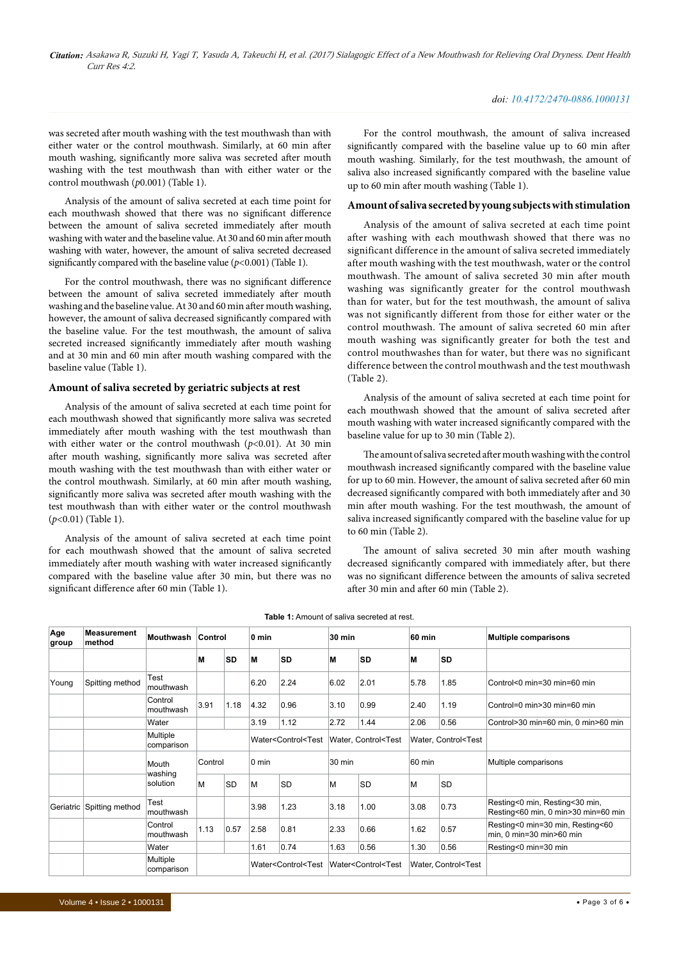#### *doi: 10.4172/2470-0886.1000131*

was secreted after mouth washing with the test mouthwash than with either water or the control mouthwash. Similarly, at 60 min after mouth washing, significantly more saliva was secreted after mouth washing with the test mouthwash than with either water or the control mouthwash (*p*0.001) (Table 1).

Analysis of the amount of saliva secreted at each time point for each mouthwash showed that there was no significant difference between the amount of saliva secreted immediately after mouth washing with water and the baseline value. At 30 and 60 min after mouth washing with water, however, the amount of saliva secreted decreased significantly compared with the baseline value (*p<*0.001) (Table 1).

For the control mouthwash, there was no significant difference between the amount of saliva secreted immediately after mouth washing and the baseline value. At 30 and 60 min after mouth washing, however, the amount of saliva decreased significantly compared with the baseline value. For the test mouthwash, the amount of saliva secreted increased significantly immediately after mouth washing and at 30 min and 60 min after mouth washing compared with the baseline value (Table 1).

# **Amount of saliva secreted by geriatric subjects at rest**

Analysis of the amount of saliva secreted at each time point for each mouthwash showed that significantly more saliva was secreted immediately after mouth washing with the test mouthwash than with either water or the control mouthwash  $(p<0.01)$ . At 30 min after mouth washing, significantly more saliva was secreted after mouth washing with the test mouthwash than with either water or the control mouthwash. Similarly, at 60 min after mouth washing, significantly more saliva was secreted after mouth washing with the test mouthwash than with either water or the control mouthwash (*p*<0.01) (Table 1).

Analysis of the amount of saliva secreted at each time point for each mouthwash showed that the amount of saliva secreted immediately after mouth washing with water increased significantly compared with the baseline value after 30 min, but there was no significant difference after 60 min (Table 1).

For the control mouthwash, the amount of saliva increased significantly compared with the baseline value up to 60 min after mouth washing. Similarly, for the test mouthwash, the amount of saliva also increased significantly compared with the baseline value up to 60 min after mouth washing (Table 1).

### **Amount of saliva secreted by young subjects with stimulation**

Analysis of the amount of saliva secreted at each time point after washing with each mouthwash showed that there was no significant difference in the amount of saliva secreted immediately after mouth washing with the test mouthwash, water or the control mouthwash. The amount of saliva secreted 30 min after mouth washing was significantly greater for the control mouthwash than for water, but for the test mouthwash, the amount of saliva was not significantly different from those for either water or the control mouthwash. The amount of saliva secreted 60 min after mouth washing was significantly greater for both the test and control mouthwashes than for water, but there was no significant difference between the control mouthwash and the test mouthwash (Table 2).

Analysis of the amount of saliva secreted at each time point for each mouthwash showed that the amount of saliva secreted after mouth washing with water increased significantly compared with the baseline value for up to 30 min (Table 2).

The amount of saliva secreted after mouth washing with the control mouthwash increased significantly compared with the baseline value for up to 60 min. However, the amount of saliva secreted after 60 min decreased significantly compared with both immediately after and 30 min after mouth washing. For the test mouthwash, the amount of saliva increased significantly compared with the baseline value for up to 60 min (Table 2).

The amount of saliva secreted 30 min after mouth washing decreased significantly compared with immediately after, but there was no significant difference between the amounts of saliva secreted after 30 min and after 60 min (Table 2).

| Age<br>group | <b>Measurement</b><br>method | Mouthwash              | Control |           | 0 min                                                                                                                                                                       |           | <b>30 min</b>                                                                                                |           | 60 min                                        |           | <b>Multiple comparisons</b>                                           |  |
|--------------|------------------------------|------------------------|---------|-----------|-----------------------------------------------------------------------------------------------------------------------------------------------------------------------------|-----------|--------------------------------------------------------------------------------------------------------------|-----------|-----------------------------------------------|-----------|-----------------------------------------------------------------------|--|
|              |                              |                        | M       | <b>SD</b> | M                                                                                                                                                                           | <b>SD</b> | М                                                                                                            | SD        | М                                             | <b>SD</b> |                                                                       |  |
| Young        | Spitting method              | Test<br>mouthwash      |         |           | 6.20                                                                                                                                                                        | 2.24      | 6.02                                                                                                         | 2.01      | 5.78                                          | 1.85      | Control<0 min=30 min=60 min                                           |  |
|              |                              | Control<br>mouthwash   | 3.91    | 1.18      | 4.32                                                                                                                                                                        | 0.96      | 3.10                                                                                                         | 0.99      | 2.40                                          | 1.19      | Control=0 min>30 min=60 min                                           |  |
|              |                              | Water                  |         |           | 3.19                                                                                                                                                                        | 1.12      | 2.72                                                                                                         | 1.44      | 2.06                                          | 0.56      | Control>30 min=60 min, 0 min>60 min                                   |  |
|              |                              | Multiple<br>comparison |         |           | Water <control<test< td=""><td colspan="2">Water, Control<test< td=""><td colspan="2">Water, Control<test< td=""><td></td></test<></td></test<></td></control<test<>        |           | Water, Control <test< td=""><td colspan="2">Water, Control<test< td=""><td></td></test<></td></test<>        |           | Water, Control <test< td=""><td></td></test<> |           |                                                                       |  |
|              |                              | Mouth                  | Control |           | $0 \text{ min}$                                                                                                                                                             |           | 30 min                                                                                                       |           | 60 min                                        |           | Multiple comparisons                                                  |  |
|              |                              | washing<br>solution    | M       | <b>SD</b> | M                                                                                                                                                                           | <b>SD</b> | M                                                                                                            | <b>SD</b> | M                                             | <b>SD</b> |                                                                       |  |
| Geriatric    | Spitting method              | Test<br>mouthwash      |         |           | 3.98                                                                                                                                                                        | 1.23      | 3.18                                                                                                         | 1.00      | 3.08                                          | 0.73      | Resting<0 min, Resting<30 min,<br>Resting<60 min, 0 min>30 min=60 min |  |
|              |                              | Control<br>mouthwash   | 1.13    | 0.57      | 2.58                                                                                                                                                                        | 0.81      | 2.33                                                                                                         | 0.66      | 1.62                                          | 0.57      | Resting<0 min=30 min, Resting<60<br>min, 0 min=30 min>60 min          |  |
|              |                              | Water                  |         |           | 1.61                                                                                                                                                                        | 0.74      | 1.63                                                                                                         | 0.56      | 1.30                                          | 0.56      | Resting<0 min=30 min                                                  |  |
|              |                              | Multiple<br>comparison |         |           | Water <control<test< td=""><td colspan="2">Water<control<test< td=""><td colspan="2">Water, Control<test< td=""><td></td></test<></td></control<test<></td></control<test<> |           | Water <control<test< td=""><td colspan="2">Water, Control<test< td=""><td></td></test<></td></control<test<> |           | Water, Control <test< td=""><td></td></test<> |           |                                                                       |  |

**Table 1:** Amount of saliva secreted at rest.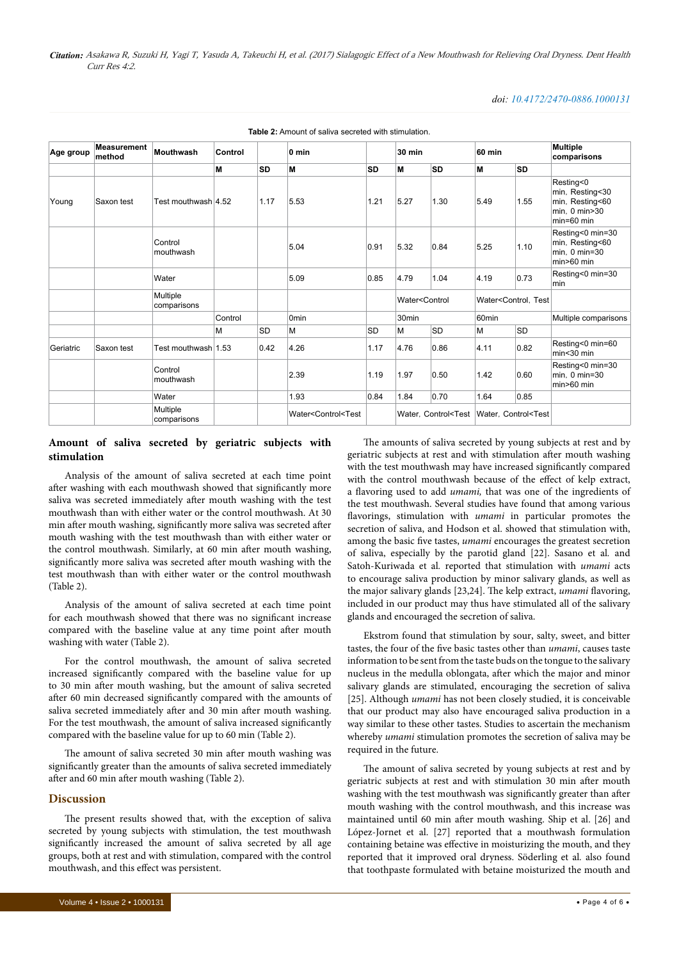#### *doi: 10.4172/2470-0886.1000131*

| Age group | <b>Measurement</b><br>method | <b>Mouthwash</b>        | Control |           | $0 \text{ min}$                                                                                                                                                          |           | <b>30 min</b>                                   |           | <b>60 min</b>                                                               |           | <b>Multiple</b><br>comparisons                                                   |
|-----------|------------------------------|-------------------------|---------|-----------|--------------------------------------------------------------------------------------------------------------------------------------------------------------------------|-----------|-------------------------------------------------|-----------|-----------------------------------------------------------------------------|-----------|----------------------------------------------------------------------------------|
|           |                              |                         | M       | <b>SD</b> | M                                                                                                                                                                        | <b>SD</b> | M                                               | <b>SD</b> | M                                                                           | SD        |                                                                                  |
| Young     | Saxon test                   | Test mouthwash 4.52     |         | 1.17      | 5.53                                                                                                                                                                     | 1.21      | 5.27                                            | 1.30      | 5.49                                                                        | 1.55      | Resting<0<br>min, Resting<30<br>min, Resting<60<br>min. 0 min>30<br>$min=60$ min |
|           |                              | Control<br>mouthwash    |         |           | 5.04                                                                                                                                                                     | 0.91      | 5.32                                            | 0.84      | 5.25                                                                        | 1.10      | Resting<0 min=30<br>min, Resting<60<br>min, 0 min=30<br>$min>60$ min             |
|           |                              | Water                   |         |           | 5.09                                                                                                                                                                     | 0.85      | 4.79                                            | 1.04      | 4.19                                                                        | 0.73      | Resting<0 min=30<br>l min                                                        |
|           |                              | Multiple<br>comparisons |         |           |                                                                                                                                                                          |           | Water <control<br>30<sub>min</sub></control<br> |           | Water <control. td="" test<=""><td></td></control.>                         |           |                                                                                  |
|           |                              |                         | Control |           | 0 <sub>min</sub>                                                                                                                                                         |           |                                                 |           | 60min                                                                       |           | Multiple comparisons                                                             |
|           |                              |                         | М       | <b>SD</b> | M                                                                                                                                                                        | <b>SD</b> | M                                               | <b>SD</b> | M                                                                           | <b>SD</b> |                                                                                  |
| Geriatric | Saxon test                   | Test mouthwash 1.53     |         | 0.42      | 4.26                                                                                                                                                                     | 1.17      | 4.76                                            | 0.86      | 4.11                                                                        | 0.82      | Resting<0 min=60<br>min <sub>30</sub> min                                        |
|           |                              | Control<br>mouthwash    |         |           | 2.39                                                                                                                                                                     | 1.19      | 1.97                                            | 0.50      | 1.42                                                                        | 0.60      | Resting<0 min=30<br>$min. 0 min=30$<br>$min>60$ min                              |
|           |                              | Water                   |         |           | 1.93                                                                                                                                                                     | 0.84      | 1.84                                            | 0.70      | 1.64                                                                        | 0.85      |                                                                                  |
|           |                              | Multiple<br>comparisons |         |           | Water <control<test< td=""><td></td><td colspan="2"></td><td colspan="2">Water, Control<test control<test<="" td="" water,=""  =""><td></td></test></td></control<test<> |           |                                                 |           | Water, Control <test control<test<="" td="" water,=""  =""><td></td></test> |           |                                                                                  |

**Table 2:** Amount of saliva secreted with stimulation.

# **Amount of saliva secreted by geriatric subjects with stimulation**

Analysis of the amount of saliva secreted at each time point after washing with each mouthwash showed that significantly more saliva was secreted immediately after mouth washing with the test mouthwash than with either water or the control mouthwash. At 30 min after mouth washing, significantly more saliva was secreted after mouth washing with the test mouthwash than with either water or the control mouthwash. Similarly, at 60 min after mouth washing, significantly more saliva was secreted after mouth washing with the test mouthwash than with either water or the control mouthwash (Table 2).

Analysis of the amount of saliva secreted at each time point for each mouthwash showed that there was no significant increase compared with the baseline value at any time point after mouth washing with water (Table 2).

For the control mouthwash, the amount of saliva secreted increased significantly compared with the baseline value for up to 30 min after mouth washing, but the amount of saliva secreted after 60 min decreased significantly compared with the amounts of saliva secreted immediately after and 30 min after mouth washing. For the test mouthwash, the amount of saliva increased significantly compared with the baseline value for up to 60 min (Table 2).

The amount of saliva secreted 30 min after mouth washing was significantly greater than the amounts of saliva secreted immediately after and 60 min after mouth washing (Table 2).

# **Discussion**

The present results showed that, with the exception of saliva secreted by young subjects with stimulation, the test mouthwash significantly increased the amount of saliva secreted by all age groups, both at rest and with stimulation, compared with the control mouthwash, and this effect was persistent.

glands and encouraged the secretion of saliva. Ekstrom found that stimulation by sour, salty, sweet, and bitter tastes, the four of the five basic tastes other than *umami*, causes taste information to be sent from the taste buds on the tongue to the salivary nucleus in the medulla oblongata, after which the major and minor salivary glands are stimulated, encouraging the secretion of saliva [25]. Although *umami* has not been closely studied, it is conceivable that our product may also have encouraged saliva production in a way similar to these other tastes. Studies to ascertain the mechanism whereby *umami* stimulation promotes the secretion of saliva may be required in the future.

> The amount of saliva secreted by young subjects at rest and by geriatric subjects at rest and with stimulation 30 min after mouth washing with the test mouthwash was significantly greater than after mouth washing with the control mouthwash, and this increase was maintained until 60 min after mouth washing. Ship et al. [26] and López-Jornet et al. [27] reported that a mouthwash formulation containing betaine was effective in moisturizing the mouth, and they reported that it improved oral dryness. Söderling et al*.* also found that toothpaste formulated with betaine moisturized the mouth and

> The amounts of saliva secreted by young subjects at rest and by geriatric subjects at rest and with stimulation after mouth washing with the test mouthwash may have increased significantly compared with the control mouthwash because of the effect of kelp extract, a flavoring used to add *umami,* that was one of the ingredients of the test mouthwash. Several studies have found that among various flavorings, stimulation with *umami* in particular promotes the secretion of saliva, and Hodson et al. showed that stimulation with, among the basic five tastes, *umami* encourages the greatest secretion of saliva, especially by the parotid gland [22]. Sasano et al*.* and Satoh-Kuriwada et al*.* reported that stimulation with *umami* acts to encourage saliva production by minor salivary glands, as well as the major salivary glands [23,24]. The kelp extract, *umami* flavoring, included in our product may thus have stimulated all of the salivary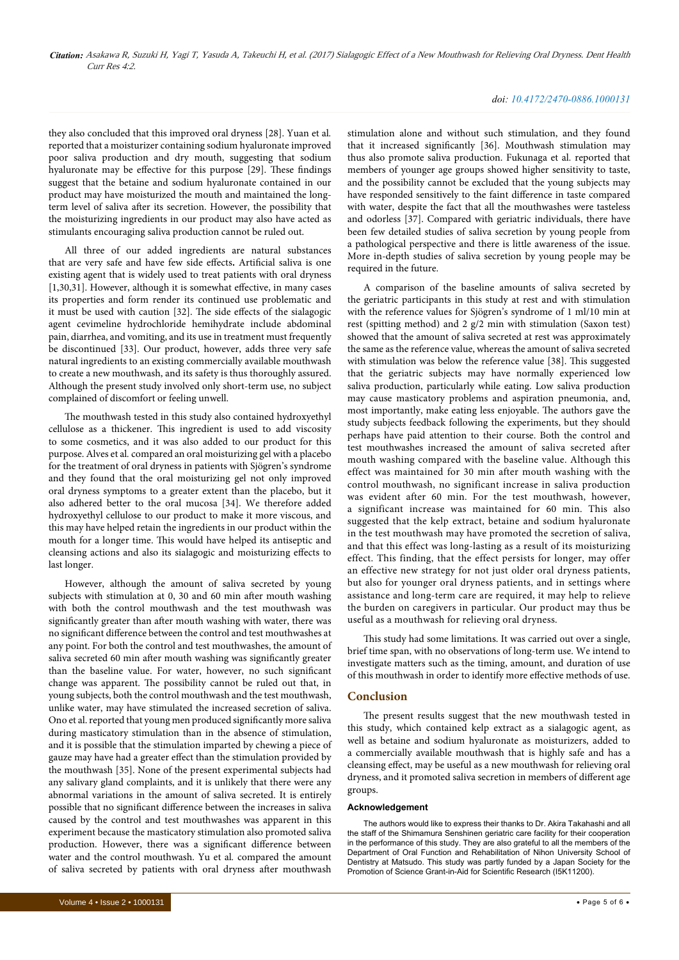#### *doi: 10.4172/2470-0886.1000131*

they also concluded that this improved oral dryness [28]. Yuan et al*.*  reported that a moisturizer containing sodium hyaluronate improved poor saliva production and dry mouth, suggesting that sodium hyaluronate may be effective for this purpose [29]. These findings suggest that the betaine and sodium hyaluronate contained in our product may have moisturized the mouth and maintained the longterm level of saliva after its secretion. However, the possibility that the moisturizing ingredients in our product may also have acted as stimulants encouraging saliva production cannot be ruled out.

All three of our added ingredients are natural substances that are very safe and have few side effects**.** Artificial saliva is one existing agent that is widely used to treat patients with oral dryness [1,30,31]. However, although it is somewhat effective, in many cases its properties and form render its continued use problematic and it must be used with caution [32]. The side effects of the sialagogic agent cevimeline hydrochloride hemihydrate include abdominal pain, diarrhea, and vomiting, and its use in treatment must frequently be discontinued [33]. Our product, however, adds three very safe natural ingredients to an existing commercially available mouthwash to create a new mouthwash, and its safety is thus thoroughly assured. Although the present study involved only short-term use, no subject complained of discomfort or feeling unwell.

The mouthwash tested in this study also contained hydroxyethyl cellulose as a thickener. This ingredient is used to add viscosity to some cosmetics, and it was also added to our product for this purpose. Alves et al*.* compared an oral moisturizing gel with a placebo for the treatment of oral dryness in patients with Sjögren's syndrome and they found that the oral moisturizing gel not only improved oral dryness symptoms to a greater extent than the placebo, but it also adhered better to the oral mucosa [34]. We therefore added hydroxyethyl cellulose to our product to make it more viscous, and this may have helped retain the ingredients in our product within the mouth for a longer time. This would have helped its antiseptic and cleansing actions and also its sialagogic and moisturizing effects to last longer.

However, although the amount of saliva secreted by young subjects with stimulation at 0, 30 and 60 min after mouth washing with both the control mouthwash and the test mouthwash was significantly greater than after mouth washing with water, there was no significant difference between the control and test mouthwashes at any point. For both the control and test mouthwashes, the amount of saliva secreted 60 min after mouth washing was significantly greater than the baseline value. For water, however, no such significant change was apparent. The possibility cannot be ruled out that, in young subjects, both the control mouthwash and the test mouthwash, unlike water, may have stimulated the increased secretion of saliva. Ono et al. reported that young men produced significantly more saliva during masticatory stimulation than in the absence of stimulation, and it is possible that the stimulation imparted by chewing a piece of gauze may have had a greater effect than the stimulation provided by the mouthwash [35]. None of the present experimental subjects had any salivary gland complaints, and it is unlikely that there were any abnormal variations in the amount of saliva secreted. It is entirely possible that no significant difference between the increases in saliva caused by the control and test mouthwashes was apparent in this experiment because the masticatory stimulation also promoted saliva production. However, there was a significant difference between water and the control mouthwash. Yu et al*.* compared the amount of saliva secreted by patients with oral dryness after mouthwash

stimulation alone and without such stimulation, and they found that it increased significantly [36]. Mouthwash stimulation may thus also promote saliva production. Fukunaga et al*.* reported that members of younger age groups showed higher sensitivity to taste, and the possibility cannot be excluded that the young subjects may have responded sensitively to the faint difference in taste compared with water, despite the fact that all the mouthwashes were tasteless and odorless [37]. Compared with geriatric individuals, there have been few detailed studies of saliva secretion by young people from a pathological perspective and there is little awareness of the issue. More in-depth studies of saliva secretion by young people may be required in the future.

A comparison of the baseline amounts of saliva secreted by the geriatric participants in this study at rest and with stimulation with the reference values for Sjögren's syndrome of 1 ml/10 min at rest (spitting method) and 2 g/2 min with stimulation (Saxon test) showed that the amount of saliva secreted at rest was approximately the same as the reference value, whereas the amount of saliva secreted with stimulation was below the reference value [38]. This suggested that the geriatric subjects may have normally experienced low saliva production, particularly while eating. Low saliva production may cause masticatory problems and aspiration pneumonia, and, most importantly, make eating less enjoyable. The authors gave the study subjects feedback following the experiments, but they should perhaps have paid attention to their course. Both the control and test mouthwashes increased the amount of saliva secreted after mouth washing compared with the baseline value. Although this effect was maintained for 30 min after mouth washing with the control mouthwash, no significant increase in saliva production was evident after 60 min. For the test mouthwash, however, a significant increase was maintained for 60 min. This also suggested that the kelp extract, betaine and sodium hyaluronate in the test mouthwash may have promoted the secretion of saliva, and that this effect was long-lasting as a result of its moisturizing effect. This finding, that the effect persists for longer, may offer an effective new strategy for not just older oral dryness patients, but also for younger oral dryness patients, and in settings where assistance and long-term care are required, it may help to relieve the burden on caregivers in particular. Our product may thus be useful as a mouthwash for relieving oral dryness.

This study had some limitations. It was carried out over a single, brief time span, with no observations of long-term use. We intend to investigate matters such as the timing, amount, and duration of use of this mouthwash in order to identify more effective methods of use.

#### **Conclusion**

The present results suggest that the new mouthwash tested in this study, which contained kelp extract as a sialagogic agent, as well as betaine and sodium hyaluronate as moisturizers, added to a commercially available mouthwash that is highly safe and has a cleansing effect, may be useful as a new mouthwash for relieving oral dryness, and it promoted saliva secretion in members of different age groups.

# **Acknowledgement**

The authors would like to express their thanks to Dr. Akira Takahashi and all the staff of the Shimamura Senshinen geriatric care facility for their cooperation in the performance of this study. They are also grateful to all the members of the Department of Oral Function and Rehabilitation of Nihon University School of Dentistry at Matsudo. This study was partly funded by a Japan Society for the Promotion of Science Grant-in-Aid for Scientific Research (I5K11200).